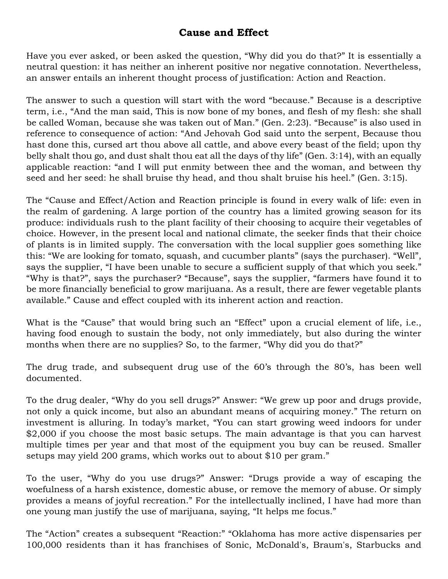## **Cause and Effect**

Have you ever asked, or been asked the question, "Why did you do that?" It is essentially a neutral question: it has neither an inherent positive nor negative connotation. Nevertheless, an answer entails an inherent thought process of justification: Action and Reaction.

The answer to such a question will start with the word "because." Because is a descriptive term, i.e., "And the man said, This is now bone of my bones, and flesh of my flesh: she shall be called Woman, because she was taken out of Man." (Gen. 2:23). "Because" is also used in reference to consequence of action: "And Jehovah God said unto the serpent, Because thou hast done this, cursed art thou above all cattle, and above every beast of the field; upon thy belly shalt thou go, and dust shalt thou eat all the days of thy life" (Gen. 3:14), with an equally applicable reaction: "and I will put enmity between thee and the woman, and between thy seed and her seed: he shall bruise thy head, and thou shalt bruise his heel." (Gen. 3:15).

The "Cause and Effect/Action and Reaction principle is found in every walk of life: even in the realm of gardening. A large portion of the country has a limited growing season for its produce: individuals rush to the plant facility of their choosing to acquire their vegetables of choice. However, in the present local and national climate, the seeker finds that their choice of plants is in limited supply. The conversation with the local supplier goes something like this: "We are looking for tomato, squash, and cucumber plants" (says the purchaser). "Well", says the supplier, "I have been unable to secure a sufficient supply of that which you seek." "Why is that?", says the purchaser? "Because", says the supplier, "farmers have found it to be more financially beneficial to grow marijuana. As a result, there are fewer vegetable plants available." Cause and effect coupled with its inherent action and reaction.

What is the "Cause" that would bring such an "Effect" upon a crucial element of life, i.e., having food enough to sustain the body, not only immediately, but also during the winter months when there are no supplies? So, to the farmer, "Why did you do that?"

The drug trade, and subsequent drug use of the 60's through the 80's, has been well documented.

To the drug dealer, "Why do you sell drugs?" Answer: "We grew up poor and drugs provide, not only a quick income, but also an abundant means of acquiring money." The return on investment is alluring. In today's market, "You can start growing weed indoors for under \$2,000 if you choose the most basic setups. The main advantage is that you can harvest multiple times per year and that most of the equipment you buy can be reused. Smaller setups may yield 200 grams, which works out to about \$10 per gram."

To the user, "Why do you use drugs?" Answer: "Drugs provide a way of escaping the woefulness of a harsh existence, domestic abuse, or remove the memory of abuse. Or simply provides a means of joyful recreation." For the intellectually inclined, I have had more than one young man justify the use of marijuana, saying, "It helps me focus."

The "Action" creates a subsequent "Reaction:" "Oklahoma has more active dispensaries per 100,000 residents than it has franchises of Sonic, McDonald's, Braum's, Starbucks and